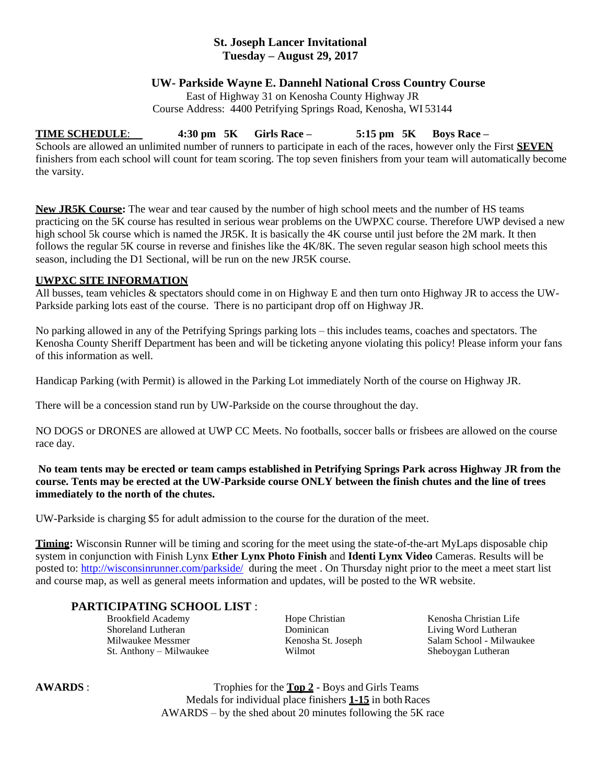## **St. Joseph Lancer Invitational Tuesday – August 29, 2017**

### **UW- Parkside Wayne E. Dannehl National Cross Country Course**

East of Highway 31 on Kenosha County Highway JR Course Address: 4400 Petrifying Springs Road, Kenosha, WI 53144

## **TIME SCHEDULE**: **4:30 pm 5K Girls Race – 5:15 pm 5K Boys Race –**

Schools are allowed an unlimited number of runners to participate in each of the races, however only the First **SEVEN** finishers from each school will count for team scoring. The top seven finishers from your team will automatically become the varsity.

**New JR5K Course:** The wear and tear caused by the number of high school meets and the number of HS teams practicing on the 5K course has resulted in serious wear problems on the UWPXC course. Therefore UWP devised a new high school 5k course which is named the JR5K. It is basically the 4K course until just before the 2M mark. It then follows the regular 5K course in reverse and finishes like the 4K/8K. The seven regular season high school meets this season, including the D1 Sectional, will be run on the new JR5K course.

#### **UWPXC SITE INFORMATION**

All busses, team vehicles & spectators should come in on Highway E and then turn onto Highway JR to access the UW-Parkside parking lots east of the course. There is no participant drop off on Highway JR.

No parking allowed in any of the Petrifying Springs parking lots – this includes teams, coaches and spectators. The Kenosha County Sheriff Department has been and will be ticketing anyone violating this policy! Please inform your fans of this information as well.

Handicap Parking (with Permit) is allowed in the Parking Lot immediately North of the course on Highway JR.

There will be a concession stand run by UW-Parkside on the course throughout the day.

NO DOGS or DRONES are allowed at UWP CC Meets. No footballs, soccer balls or frisbees are allowed on the course race day.

### **No team tents may be erected or team camps established in Petrifying Springs Park across Highway JR from the course. Tents may be erected at the UW-Parkside course ONLY between the finish chutes and the line of trees immediately to the north of the chutes.**

UW-Parkside is charging \$5 for adult admission to the course for the duration of the meet.

**Timing:** Wisconsin Runner will be timing and scoring for the meet using the state-of-the-art MyLaps disposable chip system in conjunction with Finish Lynx **Ether Lynx Photo Finish** and **Identi Lynx Video** Cameras. Results will be posted to:<http://wisconsinrunner.com/parkside/> during the meet . On Thursday night prior to the meet a meet start list and course map, as well as general meets information and updates, will be posted to the WR website.

## **PARTICIPATING SCHOOL LIST** :

Brookfield Academy **Hope Christian Kenosha Christian** Kenosha Christian Life Shoreland Lutheran Dominican Living Word Lutheran St. Anthony – Milwaukee Wilmot Sheboygan Lutheran

Milwaukee Messmer Kenosha St. Joseph Salam School - Milwaukee

**AWARDS** : Trophies for the **Top 2** - Boys and Girls Teams Medals for individual place finishers **1-15** in both Races AWARDS – by the shed about 20 minutes following the 5K race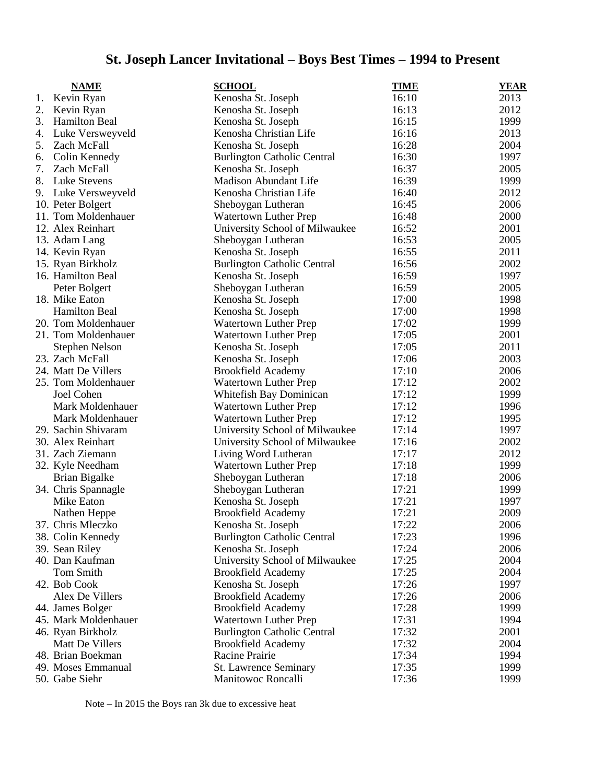# **St. Joseph Lancer Invitational – Boys Best Times – 1994 to Present**

|    | <b>NAME</b>                         | <b>SCHOOL</b>                      | <b>TIME</b>    | <b>YEAR</b> |
|----|-------------------------------------|------------------------------------|----------------|-------------|
| 1. | Kevin Ryan                          | Kenosha St. Joseph                 | 16:10          | 2013        |
| 2. | Kevin Ryan                          | Kenosha St. Joseph                 | 16:13          | 2012        |
| 3. | <b>Hamilton Beal</b>                | Kenosha St. Joseph                 | 16:15          | 1999        |
| 4. | Luke Versweyveld                    | Kenosha Christian Life             | 16:16          | 2013        |
| 5. | Zach McFall                         | Kenosha St. Joseph                 | 16:28          | 2004        |
| 6. | Colin Kennedy                       | <b>Burlington Catholic Central</b> | 16:30          | 1997        |
| 7. | Zach McFall                         | Kenosha St. Joseph                 | 16:37          | 2005        |
| 8. | <b>Luke Stevens</b>                 | <b>Madison Abundant Life</b>       | 16:39          | 1999        |
| 9. | Luke Versweyveld                    | Kenosha Christian Life             | 16:40          | 2012        |
|    | 10. Peter Bolgert                   | Sheboygan Lutheran                 | 16:45          | 2006        |
|    | 11. Tom Moldenhauer                 | <b>Watertown Luther Prep</b>       | 16:48          | 2000        |
|    | 12. Alex Reinhart                   | University School of Milwaukee     | 16:52          | 2001        |
|    | 13. Adam Lang                       | Sheboygan Lutheran                 | 16:53          | 2005        |
|    | 14. Kevin Ryan                      | Kenosha St. Joseph                 | 16:55          | 2011        |
|    | 15. Ryan Birkholz                   | <b>Burlington Catholic Central</b> | 16:56          | 2002        |
|    | 16. Hamilton Beal                   | Kenosha St. Joseph                 | 16:59          | 1997        |
|    | Peter Bolgert                       | Sheboygan Lutheran                 | 16:59          | 2005        |
|    | 18. Mike Eaton                      | Kenosha St. Joseph                 | 17:00          | 1998        |
|    | <b>Hamilton Beal</b>                | Kenosha St. Joseph                 | 17:00          | 1998        |
|    | 20. Tom Moldenhauer                 | <b>Watertown Luther Prep</b>       | 17:02          | 1999        |
|    | 21. Tom Moldenhauer                 | Watertown Luther Prep              | 17:05          | 2001        |
|    | <b>Stephen Nelson</b>               | Kenosha St. Joseph                 | 17:05          | 2011        |
|    | 23. Zach McFall                     | Kenosha St. Joseph                 | 17:06          | 2003        |
|    | 24. Matt De Villers                 | <b>Brookfield Academy</b>          | 17:10          | 2006        |
|    | 25. Tom Moldenhauer                 | <b>Watertown Luther Prep</b>       | 17:12          | 2002        |
|    | Joel Cohen                          | Whitefish Bay Dominican            | 17:12          | 1999        |
|    | Mark Moldenhauer                    | <b>Watertown Luther Prep</b>       | 17:12          | 1996        |
|    | Mark Moldenhauer                    | <b>Watertown Luther Prep</b>       | 17:12          | 1995        |
|    | 29. Sachin Shivaram                 | University School of Milwaukee     | 17:14          | 1997        |
|    | 30. Alex Reinhart                   | University School of Milwaukee     | 17:16          | 2002        |
|    | 31. Zach Ziemann                    | Living Word Lutheran               | 17:17          | 2012        |
|    | 32. Kyle Needham                    | <b>Watertown Luther Prep</b>       | 17:18          | 1999        |
|    | Brian Bigalke                       | Sheboygan Lutheran                 | 17:18          | 2006        |
|    | 34. Chris Spannagle                 | Sheboygan Lutheran                 | 17:21          | 1999        |
|    | Mike Eaton                          | Kenosha St. Joseph                 | 17:21          | 1997        |
|    | Nathen Heppe                        | <b>Brookfield Academy</b>          | 17:21          | 2009        |
|    | 37. Chris Mleczko                   |                                    |                | 2006        |
|    |                                     | Kenosha St. Joseph                 | 17:22<br>17:23 | 1996        |
|    | 38. Colin Kennedy<br>39. Sean Riley | <b>Burlington Catholic Central</b> | 17:24          | 2006        |
|    | 40. Dan Kaufman                     | Kenosha St. Joseph                 | 17:25          | 2004        |
|    | <b>Tom Smith</b>                    | University School of Milwaukee     | 17:25          | 2004        |
|    | 42. Bob Cook                        | <b>Brookfield Academy</b>          | 17:26          | 1997        |
|    |                                     | Kenosha St. Joseph                 | 17:26          |             |
|    | Alex De Villers                     | <b>Brookfield Academy</b>          |                | 2006        |
|    | 44. James Bolger                    | <b>Brookfield Academy</b>          | 17:28          | 1999        |
|    | 45. Mark Moldenhauer                | <b>Watertown Luther Prep</b>       | 17:31          | 1994        |
|    | 46. Ryan Birkholz                   | <b>Burlington Catholic Central</b> | 17:32          | 2001        |
|    | Matt De Villers                     | <b>Brookfield Academy</b>          | 17:32          | 2004        |
|    | 48. Brian Boekman                   | Racine Prairie                     | 17:34          | 1994        |
|    | 49. Moses Emmanual                  | St. Lawrence Seminary              | 17:35          | 1999        |
|    | 50. Gabe Siehr                      | Manitowoc Roncalli                 | 17:36          | 1999        |

Note – In 2015 the Boys ran 3k due to excessive heat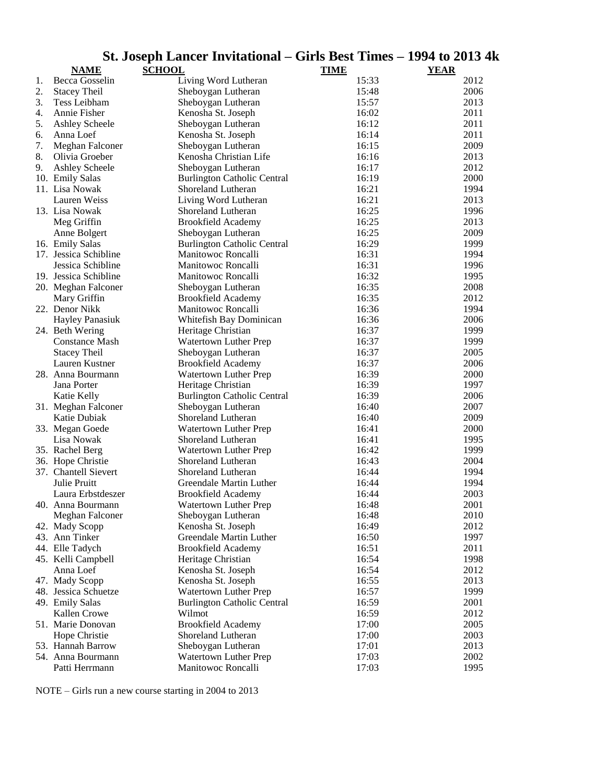|    |                        | St. Joseph Lancer Invitational – Girls Best Times – 1994 to 2013 41 |             |             |
|----|------------------------|---------------------------------------------------------------------|-------------|-------------|
|    | <b>NAME</b>            | <b>SCHOOL</b>                                                       | <b>TIME</b> | <b>YEAR</b> |
| 1. | Becca Gosselin         | Living Word Lutheran                                                | 15:33       | 2012        |
| 2. | <b>Stacey Theil</b>    | Sheboygan Lutheran                                                  | 15:48       | 2006        |
| 3. | Tess Leibham           | Sheboygan Lutheran                                                  | 15:57       | 2013        |
| 4. | Annie Fisher           | Kenosha St. Joseph                                                  | 16:02       | 2011        |
| 5. | <b>Ashley Scheele</b>  | Sheboygan Lutheran                                                  | 16:12       | 2011        |
| 6. | Anna Loef              | Kenosha St. Joseph                                                  | 16:14       | 2011        |
| 7. | Meghan Falconer        | Sheboygan Lutheran                                                  | 16:15       | 2009        |
| 8. | Olivia Groeber         | Kenosha Christian Life                                              | 16:16       | 2013        |
| 9. | <b>Ashley Scheele</b>  | Sheboygan Lutheran                                                  | 16:17       | 2012        |
|    | 10. Emily Salas        | <b>Burlington Catholic Central</b>                                  | 16:19       | 2000        |
|    | 11. Lisa Nowak         | Shoreland Lutheran                                                  | 16:21       | 1994        |
|    | Lauren Weiss           | Living Word Lutheran                                                | 16:21       | 2013        |
|    | 13. Lisa Nowak         | Shoreland Lutheran                                                  | 16:25       | 1996        |
|    | Meg Griffin            | <b>Brookfield Academy</b>                                           | 16:25       | 2013        |
|    | Anne Bolgert           | Sheboygan Lutheran                                                  | 16:25       | 2009        |
|    | 16. Emily Salas        | <b>Burlington Catholic Central</b>                                  | 16:29       | 1999        |
|    | 17. Jessica Schibline  | Manitowoc Roncalli                                                  | 16:31       | 1994        |
|    | Jessica Schibline      | Manitowoc Roncalli                                                  | 16:31       | 1996        |
|    | 19. Jessica Schibline  | Manitowoc Roncalli                                                  | 16:32       | 1995        |
|    | 20. Meghan Falconer    | Sheboygan Lutheran                                                  | 16:35       | 2008        |
|    | Mary Griffin           | <b>Brookfield Academy</b>                                           | 16:35       | 2012        |
|    | 22. Denor Nikk         | Manitowoc Roncalli                                                  | 16:36       | 1994        |
|    | <b>Hayley Panasiuk</b> | Whitefish Bay Dominican                                             | 16:36       | 2006        |
|    | 24. Beth Wering        | Heritage Christian                                                  | 16:37       | 1999        |
|    | <b>Constance Mash</b>  | Watertown Luther Prep                                               | 16:37       | 1999        |
|    | <b>Stacey Theil</b>    | Sheboygan Lutheran                                                  | 16:37       | 2005        |
|    | Lauren Kustner         | <b>Brookfield Academy</b>                                           | 16:37       | 2006        |
|    | 28. Anna Bourmann      | Watertown Luther Prep                                               | 16:39       | 2000        |
|    | Jana Porter            | Heritage Christian                                                  | 16:39       | 1997        |
|    | Katie Kelly            | <b>Burlington Catholic Central</b>                                  | 16:39       | 2006        |
|    | 31. Meghan Falconer    | Sheboygan Lutheran                                                  | 16:40       | 2007        |
|    | Katie Dubiak           | Shoreland Lutheran                                                  | 16:40       | 2009        |
|    | 33. Megan Goede        | Watertown Luther Prep                                               | 16:41       | 2000        |
|    | Lisa Nowak             | Shoreland Lutheran                                                  | 16:41       | 1995        |
|    | 35. Rachel Berg        | Watertown Luther Prep                                               | 16:42       | 1999        |
|    | 36. Hope Christie      | Shoreland Lutheran                                                  | 16:43       | 2004        |
|    | 37. Chantell Sievert   | Shoreland Lutheran                                                  | 16:44       | 1994        |
|    | Julie Pruitt           | Greendale Martin Luther                                             | 16:44       | 1994        |
|    | Laura Erbstdeszer      | <b>Brookfield Academy</b>                                           | 16:44       | 2003        |
|    | 40. Anna Bourmann      | Watertown Luther Prep                                               | 16:48       | 2001        |
|    | Meghan Falconer        | Sheboygan Lutheran                                                  | 16:48       | 2010        |
|    | 42. Mady Scopp         | Kenosha St. Joseph                                                  | 16:49       | 2012        |
|    | 43. Ann Tinker         | Greendale Martin Luther                                             | 16:50       | 1997        |
|    | 44. Elle Tadych        | <b>Brookfield Academy</b>                                           | 16:51       | 2011        |
|    | 45. Kelli Campbell     | Heritage Christian                                                  | 16:54       | 1998        |
|    | Anna Loef              | Kenosha St. Joseph                                                  | 16:54       | 2012        |
|    | 47. Mady Scopp         | Kenosha St. Joseph                                                  | 16:55       | 2013        |
|    | 48. Jessica Schuetze   | Watertown Luther Prep                                               | 16:57       | 1999        |
|    | 49. Emily Salas        | <b>Burlington Catholic Central</b>                                  | 16:59       | 2001        |
|    | Kallen Crowe           | Wilmot                                                              | 16:59       | 2012        |
|    | 51. Marie Donovan      | <b>Brookfield Academy</b>                                           | 17:00       | 2005        |
|    | Hope Christie          | Shoreland Lutheran                                                  | 17:00       | 2003        |
|    | 53. Hannah Barrow      | Sheboygan Lutheran                                                  | 17:01       | 2013        |
|    | 54. Anna Bourmann      | Watertown Luther Prep                                               | 17:03       | 2002        |
|    | Patti Herrmann         | Manitowoc Roncalli                                                  | 17:03       | 1995        |

# **St. Joseph Lancer Invitational – Girls Best Times – 1994 to 2013 4k**

NOTE – Girls run a new course starting in 2004 to 2013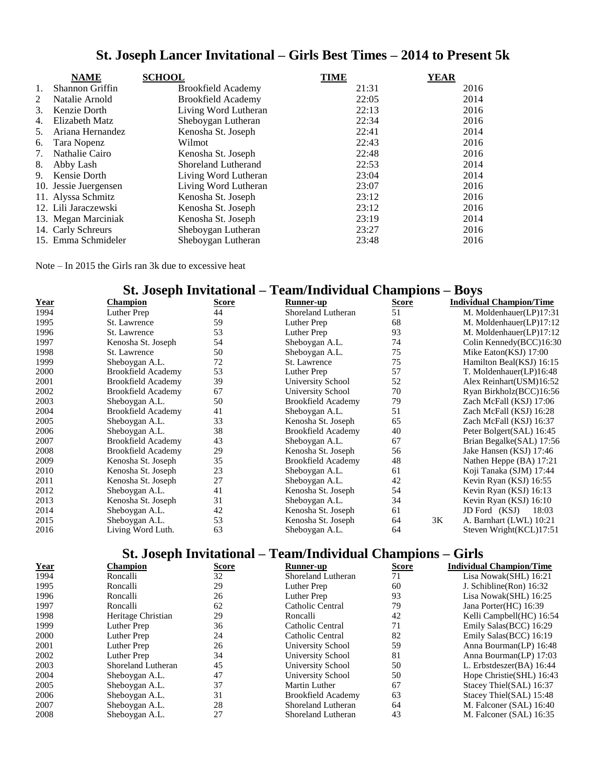|    | <b>NAME</b>           | <b>SCHOOL</b>             | <b>TIME</b> | <b>YEAR</b> |
|----|-----------------------|---------------------------|-------------|-------------|
| 1. | Shannon Griffin       | <b>Brookfield Academy</b> | 21:31       | 2016        |
| 2  | Natalie Arnold        | <b>Brookfield Academy</b> | 22:05       | 2014        |
| 3. | Kenzie Dorth          | Living Word Lutheran      | 22:13       | 2016        |
| 4. | Elizabeth Matz        | Sheboygan Lutheran        | 22:34       | 2016        |
| 5. | Ariana Hernandez      | Kenosha St. Joseph        | 22:41       | 2014        |
| 6. | Tara Nopenz           | Wilmot                    | 22:43       | 2016        |
| 7. | Nathalie Cairo        | Kenosha St. Joseph        | 22:48       | 2016        |
| 8. | Abby Lash             | Shoreland Lutherand       | 22:53       | 2014        |
|    | 9. Kensie Dorth       | Living Word Lutheran      | 23:04       | 2014        |
|    | 10. Jessie Juergensen | Living Word Lutheran      | 23:07       | 2016        |
|    | 11. Alyssa Schmitz    | Kenosha St. Joseph        | 23:12       | 2016        |
|    | 12. Lili Jaraczewski  | Kenosha St. Joseph        | 23:12       | 2016        |
|    | 13. Megan Marciniak   | Kenosha St. Joseph        | 23:19       | 2014        |
|    | 14. Carly Schreurs    | Sheboygan Lutheran        | 23:27       | 2016        |
|    | 15. Emma Schmideler   | Sheboygan Lutheran        | 23:48       | 2016        |

## **St. Joseph Lancer Invitational – Girls Best Times – 2014 to Present 5k**

Note – In 2015 the Girls ran 3k due to excessive heat

## **St. Joseph Invitational – Team/Individual Champions – Boys**

| Year | <b>Champion</b>           | Score | Runner-up                 | Score |    | <b>Individual Champion/Time</b> |
|------|---------------------------|-------|---------------------------|-------|----|---------------------------------|
| 1994 | Luther Prep               | 44    | Shoreland Lutheran        | 51    |    | M. Moldenhauer(LP)17:31         |
| 1995 | St. Lawrence              | 59    | Luther Prep               | 68    |    | M. Moldenhauer(LP)17:12         |
| 1996 | St. Lawrence              | 53    | Luther Prep               | 93    |    | M. Moldenhauer(LP)17:12         |
| 1997 | Kenosha St. Joseph        | 54    | Sheboygan A.L.            | 74    |    | Colin Kennedy(BCC)16:30         |
| 1998 | St. Lawrence              | 50    | Sheboygan A.L.            | 75    |    | Mike Eaton(KSJ) 17:00           |
| 1999 | Sheboygan A.L.            | 72    | St. Lawrence              | 75    |    | Hamilton Beal(KSJ) 16:15        |
| 2000 | <b>Brookfield Academy</b> | 53    | Luther Prep               | 57    |    | T. Moldenhauer(LP)16:48         |
| 2001 | <b>Brookfield Academy</b> | 39    | University School         | 52    |    | Alex Reinhart (USM)16:52        |
| 2002 | <b>Brookfield Academy</b> | 67    | University School         | 70    |    | Ryan Birkholz(BCC)16:56         |
| 2003 | Sheboygan A.L.            | 50    | <b>Brookfield Academy</b> | 79    |    | Zach McFall (KSJ) 17:06         |
| 2004 | <b>Brookfield Academy</b> | 41    | Sheboygan A.L.            | 51    |    | Zach McFall (KSJ) 16:28         |
| 2005 | Sheboygan A.L.            | 33    | Kenosha St. Joseph        | 65    |    | Zach McFall (KSJ) 16:37         |
| 2006 | Sheboygan A.L.            | 38    | <b>Brookfield Academy</b> | 40    |    | Peter Bolgert(SAL) 16:45        |
| 2007 | <b>Brookfield Academy</b> | 43    | Sheboygan A.L.            | 67    |    | Brian Begalke(SAL) 17:56        |
| 2008 | <b>Brookfield Academy</b> | 29    | Kenosha St. Joseph        | 56    |    | Jake Hansen (KSJ) 17:46         |
| 2009 | Kenosha St. Joseph        | 35    | <b>Brookfield Academy</b> | 48    |    | Nathen Heppe (BA) 17:21         |
| 2010 | Kenosha St. Joseph        | 23    | Sheboygan A.L.            | 61    |    | Koji Tanaka (SJM) 17:44         |
| 2011 | Kenosha St. Joseph        | 27    | Sheboygan A.L.            | 42    |    | Kevin Ryan (KSJ) 16:55          |
| 2012 | Sheboygan A.L.            | 41    | Kenosha St. Joseph        | 54    |    | Kevin Ryan (KSJ) 16:13          |
| 2013 | Kenosha St. Joseph        | 31    | Sheboygan A.L.            | 34    |    | Kevin Ryan (KSJ) 16:10          |
| 2014 | Sheboygan A.L.            | 42    | Kenosha St. Joseph        | 61    |    | 18:03<br>JD Ford (KSJ)          |
| 2015 | Sheboygan A.L.            | 53    | Kenosha St. Joseph        | 64    | 3K | A. Barnhart (LWL) 10:21         |
| 2016 | Living Word Luth.         | 63    | Sheboygan A.L.            | 64    |    | Steven Wright(KCL)17:51         |

## **St. Joseph Invitational – Team/Individual Champions – Girls**

| <u>Year</u> | Champion           | <b>Score</b> | Runner-up                 | <b>Score</b> | <b>Individual Champion/Time</b> |
|-------------|--------------------|--------------|---------------------------|--------------|---------------------------------|
| 1994        | Roncalli           | 32           | Shoreland Lutheran        | 71           | Lisa Nowak(SHL) 16:21           |
| 1995        | Roncalli           | 29           | Luther Prep               | 60           | J. Schibline (Ron) 16:32        |
| 1996        | Roncalli           | 26           | Luther Prep               | 93           | Lisa Nowak(SHL) 16:25           |
| 1997        | Roncalli           | 62           | Catholic Central          | 79           | Jana Porter(HC) 16:39           |
| 1998        | Heritage Christian | 29           | Roncalli                  | 42           | Kelli Campbell(HC) 16:54        |
| 1999        | Luther Prep        | 36           | Catholic Central          | 71           | Emily Salas (BCC) 16:29         |
| 2000        | Luther Prep        | 24           | Catholic Central          | 82           | Emily Salas (BCC) 16:19         |
| 2001        | Luther Prep        | 26           | University School         | 59           | Anna Bourman(LP) 16:48          |
| 2002        | Luther Prep        | 34           | University School         | 81           | Anna Bourman(LP) 17:03          |
| 2003        | Shoreland Lutheran | 45           | University School         | 50           | L. Erbstdeszer(BA) 16:44        |
| 2004        | Sheboygan A.L.     | 47           | University School         | 50           | Hope Christie (SHL) 16:43       |
| 2005        | Sheboygan A.L.     | 37           | Martin Luther             | 67           | Stacey Thiel(SAL) 16:37         |
| 2006        | Sheboygan A.L.     | 31           | <b>Brookfield Academy</b> | 63           | Stacey Thiel(SAL) 15:48         |
| 2007        | Sheboygan A.L.     | 28           | Shoreland Lutheran        | 64           | M. Falconer (SAL) 16:40         |
| 2008        | Sheboygan A.L.     | 27           | Shoreland Lutheran        | 43           | M. Falconer (SAL) 16:35         |